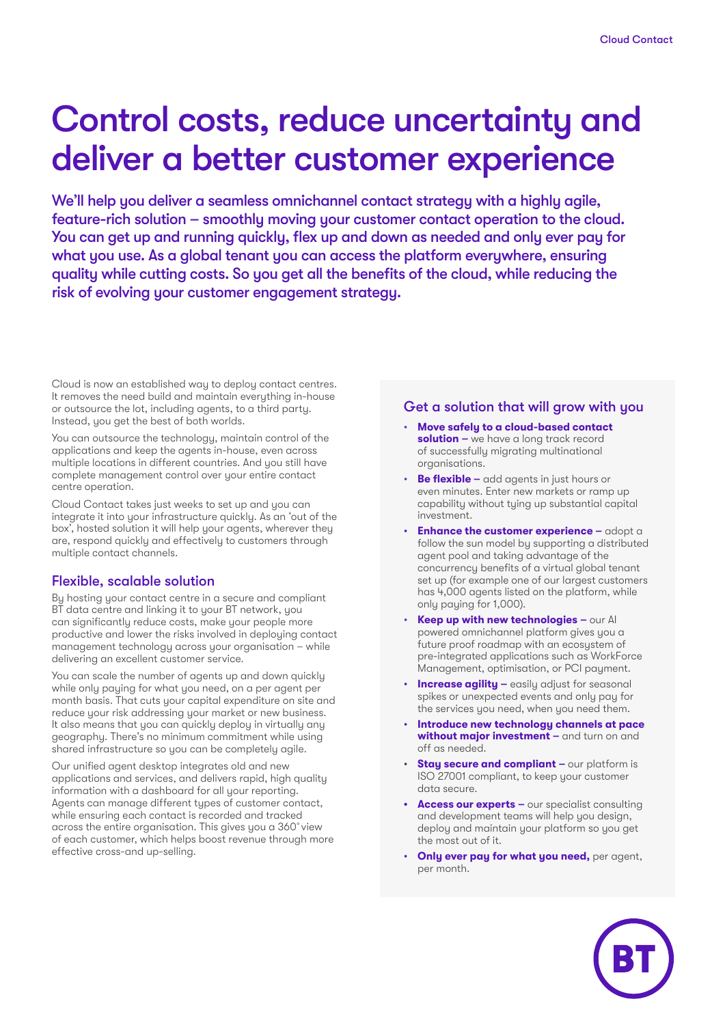# Control costs, reduce uncertainty and deliver a better customer experience

We'll help you deliver a seamless omnichannel contact strategy with a highly agile, feature-rich solution – smoothly moving your customer contact operation to the cloud. You can get up and running quickly, flex up and down as needed and only ever pay for what you use. As a global tenant you can access the platform everywhere, ensuring quality while cutting costs. So you get all the benefits of the cloud, while reducing the risk of evolving your customer engagement strategy.

Cloud is now an established way to deploy contact centres. It removes the need build and maintain everything in-house or outsource the lot, including agents, to a third party. Instead, you get the best of both worlds.

You can outsource the technology, maintain control of the applications and keep the agents in-house, even across multiple locations in different countries. And you still have complete management control over your entire contact centre operation.

Cloud Contact takes just weeks to set up and you can integrate it into your infrastructure quickly. As an 'out of the box', hosted solution it will help your agents, wherever they are, respond quickly and effectively to customers through multiple contact channels.

#### Flexible, scalable solution

By hosting your contact centre in a secure and compliant BT data centre and linking it to your BT network, you can significantly reduce costs, make your people more productive and lower the risks involved in deploying contact management technology across your organisation – while delivering an excellent customer service.

You can scale the number of agents up and down quickly while only paying for what you need, on a per agent per month basis. That cuts your capital expenditure on site and reduce your risk addressing your market or new business. It also means that you can quickly deploy in virtually any geography. There's no minimum commitment while using shared infrastructure so you can be completely agile.

Our unified agent desktop integrates old and new applications and services, and delivers rapid, high quality information with a dashboard for all your reporting. Agents can manage different types of customer contact, while ensuring each contact is recorded and tracked across the entire organisation. This gives you a 360˚view of each customer, which helps boost revenue through more effective cross-and up-selling.

#### Get a solution that will grow with you

- **Move safely to a cloud-based contact solution –** we have a long track record of successfully migrating multinational organisations.
- **Be flexible –** add agents in just hours or even minutes. Enter new markets or ramp up capability without tying up substantial capital investment.
- **Enhance the customer experience –** adopt a follow the sun model by supporting a distributed agent pool and taking advantage of the concurrency benefits of a virtual global tenant set up (for example one of our largest customers has 4,000 agents listed on the platform, while only paying for 1,000).
- **Keep up with new technologies –** our AI powered omnichannel platform gives you a future proof roadmap with an ecosystem of pre-integrated applications such as WorkForce Management, optimisation, or PCI payment.
- **Increase agility –** easily adjust for seasonal spikes or unexpected events and only pay for the services you need, when you need them.
- **Introduce new technology channels at pace without major investment –** and turn on and off as needed.
- **Stay secure and compliant –** our platform is ISO 27001 compliant, to keep your customer data secure.
- **• Access our experts –** our specialist consulting and development teams will help you design, deploy and maintain your platform so you get the most out of it.
- **Only ever pay for what you need,** per agent, per month.